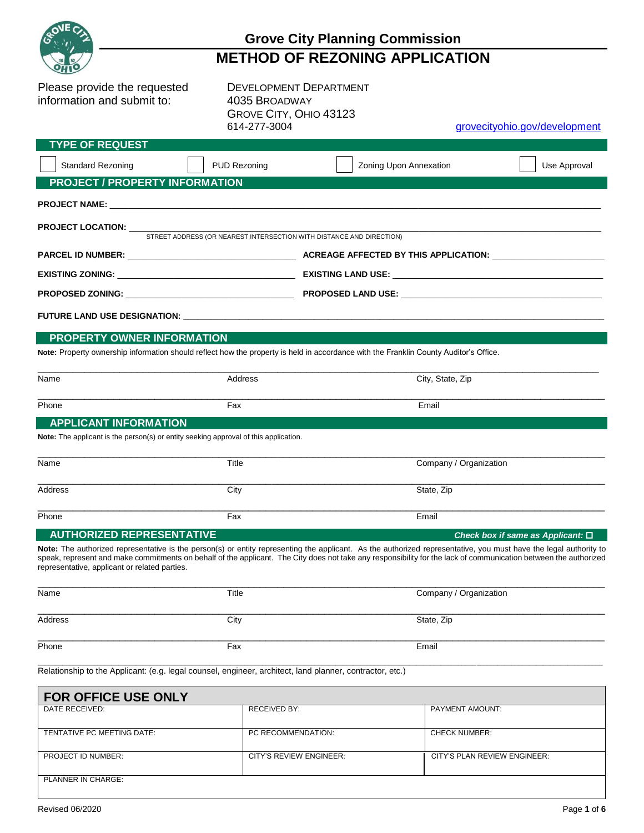

## **Grove City Planning Commission**

# **METHOD OF REZONING APPLICATION**

Please provide the requested DEVELOPMENT DEPARTMENT information and submit to: 4035 BROADWAY

GROVE CITY, OHIO 43123

grovecityohio.gov/development

| <b>TYPE OF REQUEST</b>                                                               |                     |                                                                                                                                                                                                                                                                                                                                       |                                           |  |
|--------------------------------------------------------------------------------------|---------------------|---------------------------------------------------------------------------------------------------------------------------------------------------------------------------------------------------------------------------------------------------------------------------------------------------------------------------------------|-------------------------------------------|--|
| <b>Standard Rezoning</b>                                                             | <b>PUD Rezoning</b> | Zoning Upon Annexation                                                                                                                                                                                                                                                                                                                | Use Approval                              |  |
| <b>PROJECT / PROPERTY INFORMATION</b>                                                |                     |                                                                                                                                                                                                                                                                                                                                       |                                           |  |
|                                                                                      |                     |                                                                                                                                                                                                                                                                                                                                       |                                           |  |
| <b>PROJECT LOCATION:</b>                                                             |                     | STREET ADDRESS (OR NEAREST INTERSECTION WITH DISTANCE AND DIRECTION)                                                                                                                                                                                                                                                                  |                                           |  |
|                                                                                      |                     |                                                                                                                                                                                                                                                                                                                                       |                                           |  |
|                                                                                      |                     |                                                                                                                                                                                                                                                                                                                                       |                                           |  |
|                                                                                      |                     |                                                                                                                                                                                                                                                                                                                                       |                                           |  |
|                                                                                      |                     |                                                                                                                                                                                                                                                                                                                                       |                                           |  |
| PROPERTY OWNER INFORMATION                                                           |                     |                                                                                                                                                                                                                                                                                                                                       |                                           |  |
|                                                                                      |                     | Note: Property ownership information should reflect how the property is held in accordance with the Franklin County Auditor's Office.                                                                                                                                                                                                 |                                           |  |
| Name                                                                                 | Address             | City, State, Zip                                                                                                                                                                                                                                                                                                                      |                                           |  |
| Phone                                                                                | Fax                 | Email                                                                                                                                                                                                                                                                                                                                 |                                           |  |
| <b>APPLICANT INFORMATION</b>                                                         |                     |                                                                                                                                                                                                                                                                                                                                       |                                           |  |
| Note: The applicant is the person(s) or entity seeking approval of this application. |                     |                                                                                                                                                                                                                                                                                                                                       |                                           |  |
| Name                                                                                 | Title               | Company / Organization                                                                                                                                                                                                                                                                                                                |                                           |  |
| Address                                                                              | City                | State, Zip                                                                                                                                                                                                                                                                                                                            |                                           |  |
| Phone                                                                                | Fax                 | Email                                                                                                                                                                                                                                                                                                                                 |                                           |  |
| <b>AUTHORIZED REPRESENTATIVE</b>                                                     |                     |                                                                                                                                                                                                                                                                                                                                       | Check box if same as Applicant: $\square$ |  |
| representative, applicant or related parties.                                        |                     | Note: The authorized representative is the person(s) or entity representing the applicant. As the authorized representative, you must have the legal authority to<br>speak, represent and make commitments on behalf of the applicant. The City does not take any responsibility for the lack of communication between the authorized |                                           |  |
| Name                                                                                 | Title               | Company / Organization                                                                                                                                                                                                                                                                                                                |                                           |  |

| Address | City | State, Zip |
|---------|------|------------|
| Phone   | Fax  | Email      |

\_\_\_\_\_\_\_\_\_\_\_\_\_\_\_\_\_\_\_\_\_\_\_\_\_\_\_\_\_\_\_\_\_\_\_\_\_\_\_\_\_\_\_\_\_\_\_\_\_\_\_\_\_\_\_\_\_\_\_\_\_\_\_\_\_\_\_\_\_\_\_\_\_\_\_\_\_\_\_\_\_\_\_\_\_\_\_\_\_\_\_\_\_\_\_\_\_\_\_\_\_\_\_\_\_\_\_\_\_\_\_\_\_\_\_\_\_\_\_\_\_\_\_\_\_\_\_\_\_\_\_\_\_\_\_\_\_\_\_\_\_\_\_\_\_\_\_\_\_\_\_\_\_\_\_\_\_\_\_\_\_ Relationship to the Applicant: (e.g. legal counsel, engineer, architect, land planner, contractor, etc.)

| <b>FOR OFFICE USE ONLY</b> |                                |                              |  |
|----------------------------|--------------------------------|------------------------------|--|
| DATE RECEIVED:             | RECEIVED BY:                   | <b>PAYMENT AMOUNT:</b>       |  |
| TENTATIVE PC MEETING DATE: | PC RECOMMENDATION:             | <b>CHECK NUMBER:</b>         |  |
| PROJECT ID NUMBER:         | <b>CITY'S REVIEW ENGINEER:</b> | CITY'S PLAN REVIEW ENGINEER: |  |
| <b>PLANNER IN CHARGE:</b>  |                                |                              |  |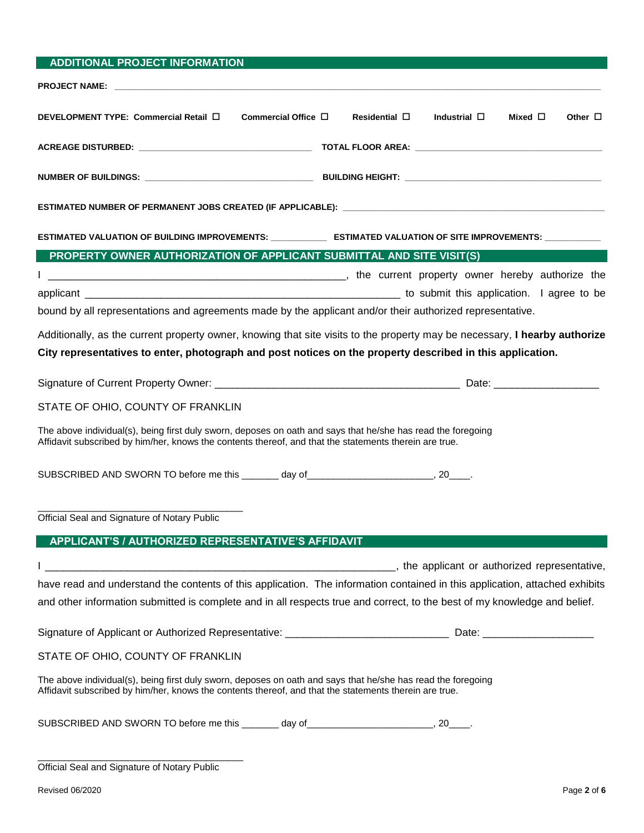| <b>ADDITIONAL PROJECT INFORMATION</b>                                                                                                                                                                                               |                                                                                                                             |
|-------------------------------------------------------------------------------------------------------------------------------------------------------------------------------------------------------------------------------------|-----------------------------------------------------------------------------------------------------------------------------|
| <b>PROJECT NAME:</b> The contract of the contract of the contract of the contract of the contract of the contract of the contract of the contract of the contract of the contract of the contract of the contract of the contract o |                                                                                                                             |
| DEVELOPMENT TYPE: Commercial Retail □<br>Commercial Office $\Box$                                                                                                                                                                   | Residential $\square$<br>Industrial $\square$<br>Mixed $\Box$<br>Other $\Box$                                               |
|                                                                                                                                                                                                                                     |                                                                                                                             |
|                                                                                                                                                                                                                                     |                                                                                                                             |
|                                                                                                                                                                                                                                     |                                                                                                                             |
|                                                                                                                                                                                                                                     | ESTIMATED VALUATION OF BUILDING IMPROVEMENTS: _______________ ESTIMATED VALUATION OF SITE IMPROVEMENTS: ___________         |
| PROPERTY OWNER AUTHORIZATION OF APPLICANT SUBMITTAL AND SITE VISIT(S)                                                                                                                                                               |                                                                                                                             |
|                                                                                                                                                                                                                                     |                                                                                                                             |
|                                                                                                                                                                                                                                     |                                                                                                                             |
| bound by all representations and agreements made by the applicant and/or their authorized representative.                                                                                                                           |                                                                                                                             |
|                                                                                                                                                                                                                                     | Additionally, as the current property owner, knowing that site visits to the property may be necessary, I hearby authorize  |
| City representatives to enter, photograph and post notices on the property described in this application.                                                                                                                           |                                                                                                                             |
|                                                                                                                                                                                                                                     |                                                                                                                             |
| STATE OF OHIO, COUNTY OF FRANKLIN                                                                                                                                                                                                   |                                                                                                                             |
| The above individual(s), being first duly sworn, deposes on oath and says that he/she has read the foregoing<br>Affidavit subscribed by him/her, knows the contents thereof, and that the statements therein are true.              |                                                                                                                             |
| SUBSCRIBED AND SWORN TO before me this _______ day of __________________________, 20____.                                                                                                                                           |                                                                                                                             |
| Official Seal and Signature of Notary Public                                                                                                                                                                                        |                                                                                                                             |
| APPLICANT'S / AUTHORIZED REPRESENTATIVE'S AFFIDAVIT                                                                                                                                                                                 |                                                                                                                             |
|                                                                                                                                                                                                                                     |                                                                                                                             |
|                                                                                                                                                                                                                                     | have read and understand the contents of this application. The information contained in this application, attached exhibits |
| and other information submitted is complete and in all respects true and correct, to the best of my knowledge and belief.                                                                                                           |                                                                                                                             |
|                                                                                                                                                                                                                                     |                                                                                                                             |
| STATE OF OHIO, COUNTY OF FRANKLIN                                                                                                                                                                                                   |                                                                                                                             |
| The above individual(s), being first duly sworn, deposes on oath and says that he/she has read the foregoing<br>Affidavit subscribed by him/her, knows the contents thereof, and that the statements therein are true.              |                                                                                                                             |
| SUBSCRIBED AND SWORN TO before me this _______ day of________________________, 20____.                                                                                                                                              |                                                                                                                             |
| Official Seal and Signature of Notary Public                                                                                                                                                                                        |                                                                                                                             |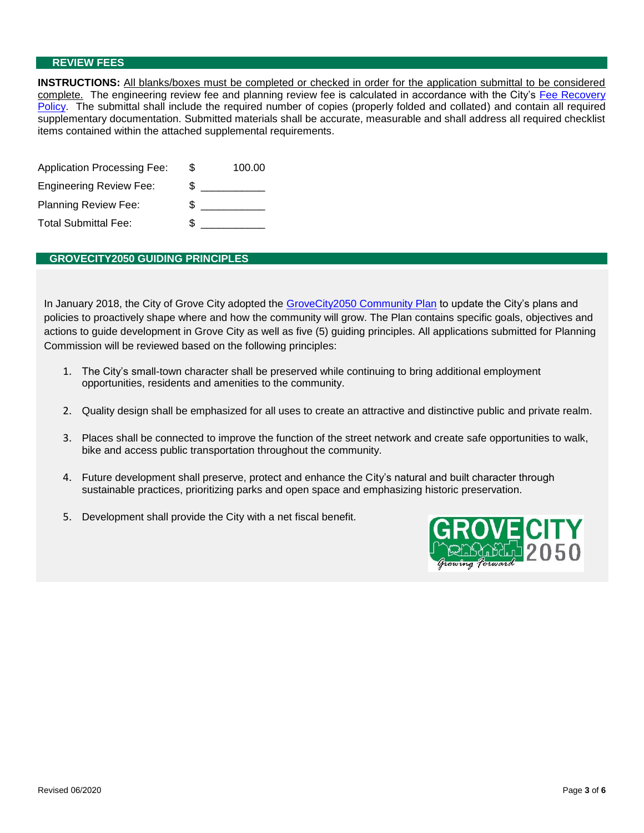#### **REVIEW FEES**

**INSTRUCTIONS:** All blanks/boxes must be completed or checked in order for the application submittal to be considered complete. The engineering review fee and planning review fee is calculated in accordance with the City's Fee Recovery Policy. The submittal shall include the required number of copies (properly folded and collated) and contain all required supplementary documentation. Submitted materials shall be accurate, measurable and shall address all required checklist items contained within the attached supplemental requirements.

| <b>Application Processing Fee:</b> | S  | 100.00 |
|------------------------------------|----|--------|
| <b>Engineering Review Fee:</b>     | \$ |        |
| <b>Planning Review Fee:</b>        | Ж, |        |
| <b>Total Submittal Fee:</b>        |    |        |

### **GROVECITY2050 GUIDING PRINCIPLES**

In January 2018, the City of Grove City adopted the GroveCity2050 Community Plan to update the City's plans and policies to proactively shape where and how the community will grow. The Plan contains specific goals, objectives and actions to guide development in Grove City as well as five (5) guiding principles. All applications submitted for Planning Commission will be reviewed based on the following principles:

- 1. The City's small-town character shall be preserved while continuing to bring additional employment opportunities, residents and amenities to the community.
- 2. Quality design shall be emphasized for all uses to create an attractive and distinctive public and private realm.
- 3. Places shall be connected to improve the function of the street network and create safe opportunities to walk, bike and access public transportation throughout the community.
- 4. Future development shall preserve, protect and enhance the City's natural and built character through sustainable practices, prioritizing parks and open space and emphasizing historic preservation.
- 5. Development shall provide the City with a net fiscal benefit.

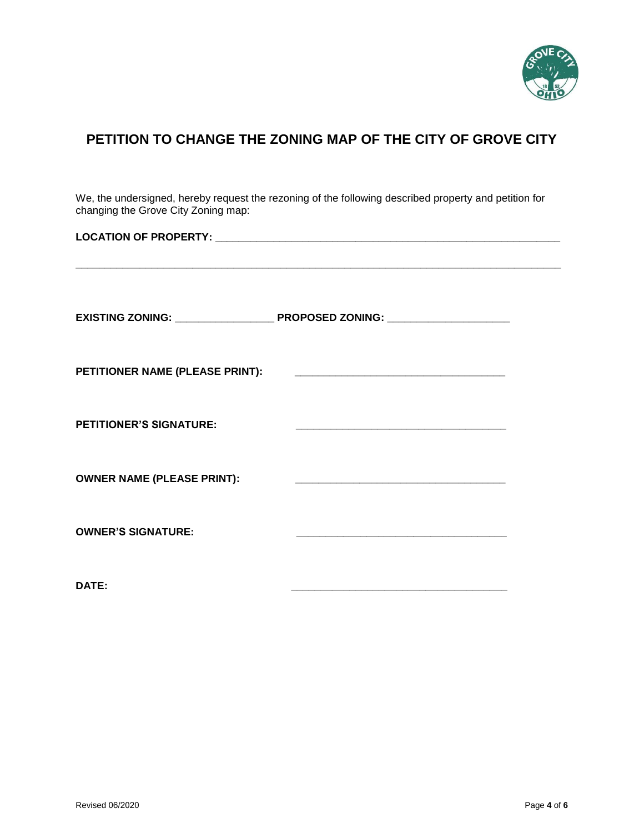

### **PETITION TO CHANGE THE ZONING MAP OF THE CITY OF GROVE CITY**

We, the undersigned, hereby request the rezoning of the following described property and petition for changing the Grove City Zoning map:

**\_\_\_\_\_\_\_\_\_\_\_\_\_\_\_\_\_\_\_\_\_\_\_\_\_\_\_\_\_\_\_\_\_\_\_\_\_\_\_\_\_\_\_\_\_\_\_\_\_\_\_\_\_\_\_\_\_\_\_\_\_\_\_\_\_\_\_\_\_\_\_\_\_\_\_\_\_\_\_\_\_\_\_**

**LOCATION OF PROPERTY: \_\_\_\_\_\_\_\_\_\_\_\_\_\_\_\_\_\_\_\_\_\_\_\_\_\_\_\_\_\_\_\_\_\_\_\_\_\_\_\_\_\_\_\_\_\_\_\_\_\_\_\_\_\_\_\_\_\_\_**

| EXISTING ZONING: _________________ | PROPOSED ZONING: ____________________             |
|------------------------------------|---------------------------------------------------|
| PETITIONER NAME (PLEASE PRINT):    |                                                   |
| <b>PETITIONER'S SIGNATURE:</b>     |                                                   |
| <b>OWNER NAME (PLEASE PRINT):</b>  | <u> 1989 - John Stone, amerikansk politiker (</u> |
| <b>OWNER'S SIGNATURE:</b>          |                                                   |
|                                    |                                                   |

**DATE: \_\_\_\_\_\_\_\_\_\_\_\_\_\_\_\_\_\_\_\_\_\_\_\_\_\_\_\_\_\_\_\_\_\_\_\_\_**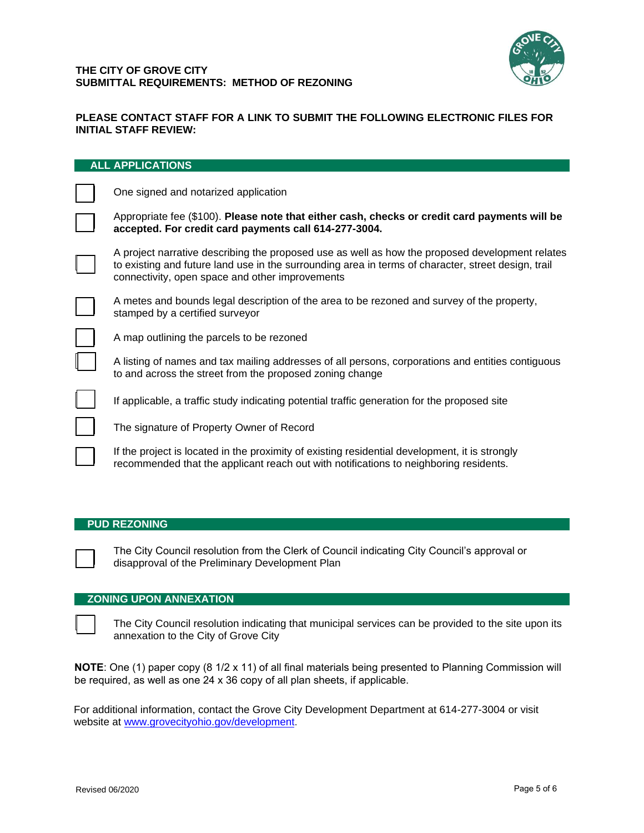

### **PLEASE CONTACT STAFF FOR A LINK TO SUBMIT THE FOLLOWING ELECTRONIC FILES FOR INITIAL STAFF REVIEW:**

| ALL AFFLIGATIONS                                                                                                                                                                                                                                          |
|-----------------------------------------------------------------------------------------------------------------------------------------------------------------------------------------------------------------------------------------------------------|
| One signed and notarized application                                                                                                                                                                                                                      |
| Appropriate fee (\$100). Please note that either cash, checks or credit card payments will be<br>accepted. For credit card payments call 614-277-3004.                                                                                                    |
| A project narrative describing the proposed use as well as how the proposed development relates<br>to existing and future land use in the surrounding area in terms of character, street design, trail<br>connectivity, open space and other improvements |
| A metes and bounds legal description of the area to be rezoned and survey of the property,<br>stamped by a certified surveyor                                                                                                                             |
| A map outlining the parcels to be rezoned                                                                                                                                                                                                                 |
| A listing of names and tax mailing addresses of all persons, corporations and entities contiguous<br>to and across the street from the proposed zoning change                                                                                             |
| If applicable, a traffic study indicating potential traffic generation for the proposed site                                                                                                                                                              |
| The signature of Property Owner of Record                                                                                                                                                                                                                 |
| If the project is located in the proximity of existing residential development, it is strongly<br>recommended that the applicant reach out with notifications to neighboring residents.                                                                   |

### **PUD REZONING**

**ALL APPLICATIONS**

The City Council resolution from the Clerk of Council indicating City Council's approval or disapproval of the Preliminary Development Plan

### **ZONING UPON ANNEXATION**

The City Council resolution indicating that municipal services can be provided to the site upon its annexation to the City of Grove City

**NOTE**: One (1) paper copy (8 1/2 x 11) of all final materials being presented to Planning Commission will be required, as well as one 24 x 36 copy of all plan sheets, if applicable.

For additio[nal information, contact the Grove City](http://www.grovecityohio.gov/development) Development Department at 614-277-3004 or visit website at www.grovecityohio.gov/development.